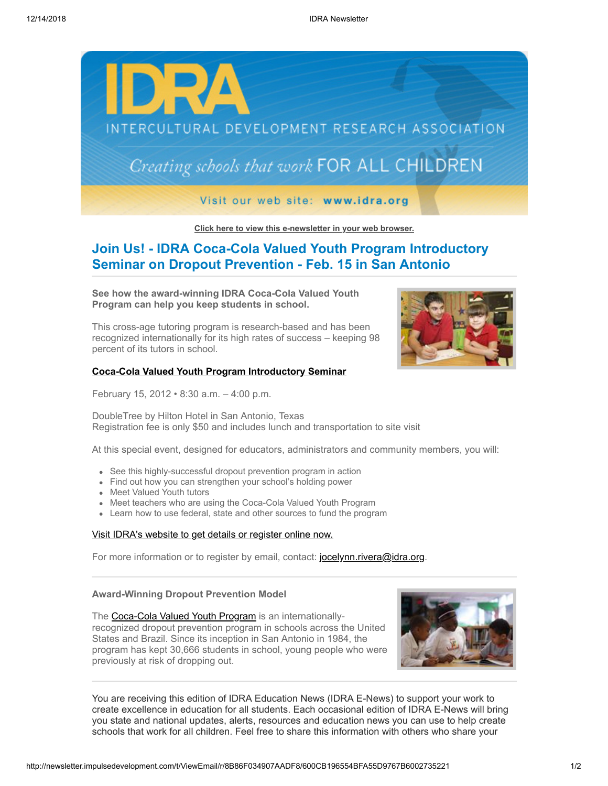

**[Click here to view this e-newsletter in your web browser.](http://newsletter.impulsedevelopment.com/t/r/e/ikjuyul/xlycihk/)**

# **Join Us! - IDRA Coca-Cola Valued Youth Program Introductory Seminar on Dropout Prevention - Feb. 15 in San Antonio**

**See how the award-winning IDRA Coca-Cola Valued Youth Program can help you keep students in school.** 

This cross-age tutoring program is research-based and has been recognized internationally for its high rates of success – keeping 98 percent of its tutors in school.

### **[Coca-Cola Valued Youth Program Introductory Seminar](http://newsletter.impulsedevelopment.com/t/r/l/ikjuyul/xlycihk/y/)**

February 15, 2012 • 8:30 a.m. – 4:00 p.m.

DoubleTree by Hilton Hotel in San Antonio, Texas Registration fee is only \$50 and includes lunch and transportation to site visit

At this special event, designed for educators, administrators and community members, you will:

- See this highly-successful dropout prevention program in action
- Find out how you can strengthen your school's holding power
- Meet Valued Youth tutors
- Meet teachers who are using the Coca-Cola Valued Youth Program
- Learn how to use federal, state and other sources to fund the program

### [Visit IDRA's website to get details or register online now.](http://newsletter.impulsedevelopment.com/t/r/l/ikjuyul/xlycihk/j/)

For more information or to register by email, contact: [jocelynn.rivera@idra.org.](mailto:jocelynn.rivera@idra.org?subject=Introductory%20Seminar)

## **Award-Winning Dropout Prevention Model**

The [Coca-Cola Valued Youth Program](http://newsletter.impulsedevelopment.com/t/r/l/ikjuyul/xlycihk/h/) is an internationallyrecognized dropout prevention program in schools across the United States and Brazil. Since its inception in San Antonio in 1984, the program has kept 30,666 students in school, young people who were previously at risk of dropping out.



You are receiving this edition of IDRA Education News (IDRA E-News) to support your work to create excellence in education for all students. Each occasional edition of IDRA E-News will bring you state and national updates, alerts, resources and education news you can use to help create schools that work for all children. Feel free to share this information with others who share your